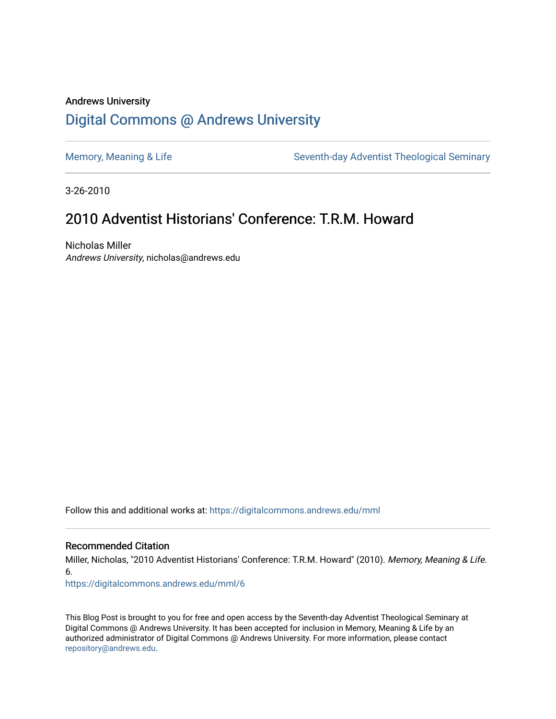# Andrews University [Digital Commons @ Andrews University](https://digitalcommons.andrews.edu/)

[Memory, Meaning & Life](https://digitalcommons.andrews.edu/mml) Seventh-day Adventist Theological Seminary

3-26-2010

# 2010 Adventist Historians' Conference: T.R.M. Howard

Nicholas Miller Andrews University, nicholas@andrews.edu

Follow this and additional works at: [https://digitalcommons.andrews.edu/mml](https://digitalcommons.andrews.edu/mml?utm_source=digitalcommons.andrews.edu%2Fmml%2F6&utm_medium=PDF&utm_campaign=PDFCoverPages) 

#### Recommended Citation

Miller, Nicholas, "2010 Adventist Historians' Conference: T.R.M. Howard" (2010). Memory, Meaning & Life. 6.

[https://digitalcommons.andrews.edu/mml/6](https://digitalcommons.andrews.edu/mml/6?utm_source=digitalcommons.andrews.edu%2Fmml%2F6&utm_medium=PDF&utm_campaign=PDFCoverPages) 

This Blog Post is brought to you for free and open access by the Seventh-day Adventist Theological Seminary at Digital Commons @ Andrews University. It has been accepted for inclusion in Memory, Meaning & Life by an authorized administrator of Digital Commons @ Andrews University. For more information, please contact [repository@andrews.edu](mailto:repository@andrews.edu).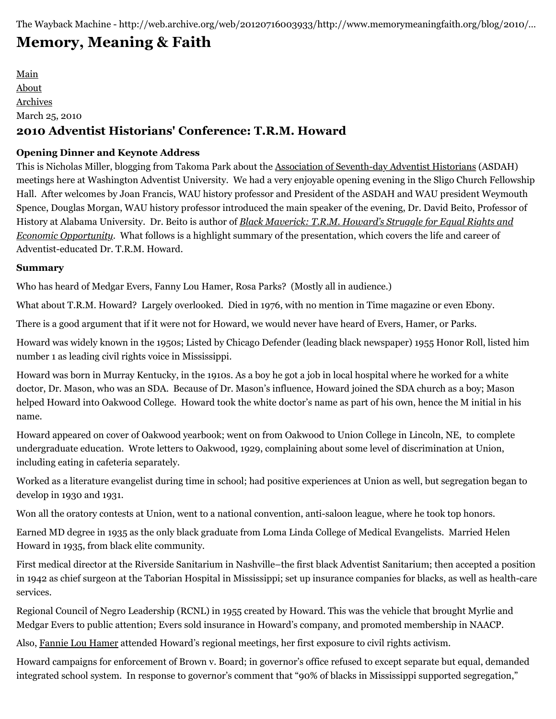The Wayback Machine - http://web.archive.org/web/20120716003933/http://www.memorymeaningfaith.org/blog/2010/…

# **[Memory, Meaning & Faith](http://web.archive.org/web/20120716003933/http://www.memorymeaningfaith.org/blog/)**

[Main](http://web.archive.org/web/20120716003933/http://www.memorymeaningfaith.org/blog) [About](http://web.archive.org/web/20120716003933/http://www.memorymeaningfaith.org/blog/about.html) [Archives](http://web.archive.org/web/20120716003933/http://www.memorymeaningfaith.org/blog/archives.html) March 25, 2010 **2010 Adventist Historians' Conference: T.R.M. Howard**

# **Opening Dinner and Keynote Address**

This is Nicholas Miller, blogging from Takoma Park about the [Association of Seventh-day Adventist Historians](http://web.archive.org/web/20120716003933/http://www.sdahistorians.org/) (ASDAH) meetings here at Washington Adventist University. We had a very enjoyable opening evening in the Sligo Church Fellowship Hall. After welcomes by Joan Francis, WAU history professor and President of the ASDAH and WAU president Weymouth Spence, Douglas Morgan, WAU history professor introduced the main speaker of the evening, Dr. David Beito, Professor of History at Alabama University. Dr. Beito is author of *Black Maverick: T.R.M. Howard's Struggle for Equal Rights and Economic Opportunity*[. What follows is a highlight summary of the presentation, which covers the life and career of](http://web.archive.org/web/20120716003933/http://books.google.com/books?id=dS4eA77qau0C&lpg=PP1&dq=Black%20Maverick&pg=PP1#v=onepage&q=&f=false) Adventist-educated Dr. T.R.M. Howard.

# **Summary**

Who has heard of Medgar Evers, Fanny Lou Hamer, Rosa Parks? (Mostly all in audience.)

What about T.R.M. Howard? Largely overlooked. Died in 1976, with no mention in Time magazine or even Ebony.

There is a good argument that if it were not for Howard, we would never have heard of Evers, Hamer, or Parks.

Howard was widely known in the 1950s; Listed by Chicago Defender (leading black newspaper) 1955 Honor Roll, listed him number 1 as leading civil rights voice in Mississippi.

Howard was born in Murray Kentucky, in the 1910s. As a boy he got a job in local hospital where he worked for a white doctor, Dr. Mason, who was an SDA. Because of Dr. Mason's influence, Howard joined the SDA church as a boy; Mason helped Howard into Oakwood College. Howard took the white doctor's name as part of his own, hence the M initial in his name.

Howard appeared on cover of Oakwood yearbook; went on from Oakwood to Union College in Lincoln, NE, to complete undergraduate education. Wrote letters to Oakwood, 1929, complaining about some level of discrimination at Union, including eating in cafeteria separately.

Worked as a literature evangelist during time in school; had positive experiences at Union as well, but segregation began to develop in 1930 and 1931.

Won all the oratory contests at Union, went to a national convention, anti-saloon league, where he took top honors.

Earned MD degree in 1935 as the only black graduate from Loma Linda College of Medical Evangelists. Married Helen Howard in 1935, from black elite community.

First medical director at the Riverside Sanitarium in Nashville–the first black Adventist Sanitarium; then accepted a position in 1942 as chief surgeon at the Taborian Hospital in Mississippi; set up insurance companies for blacks, as well as health-care services.

Regional Council of Negro Leadership (RCNL) in 1955 created by Howard. This was the vehicle that brought Myrlie and Medgar Evers to public attention; Evers sold insurance in Howard's company, and promoted membership in NAACP.

Also, [Fannie Lou Hamer](http://web.archive.org/web/20120716003933/http://en.wikipedia.org/wiki/Fannie_Lou_Hamer) attended Howard's regional meetings, her first exposure to civil rights activism.

Howard campaigns for enforcement of Brown v. Board; in governor's office refused to except separate but equal, demanded integrated school system. In response to governor's comment that "90% of blacks in Mississippi supported segregation,"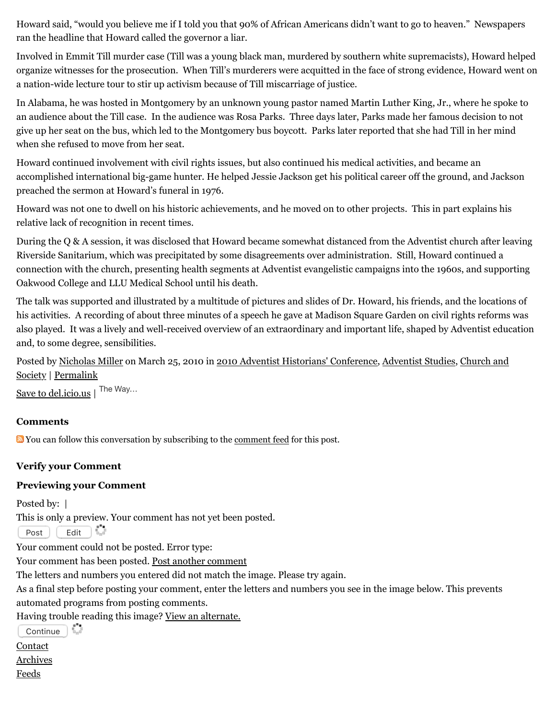Howard said, "would you believe me if I told you that 90% of African Americans didn't want to go to heaven." Newspapers ran the headline that Howard called the governor a liar.

Involved in Emmit Till murder case (Till was a young black man, murdered by southern white supremacists), Howard helped organize witnesses for the prosecution. When Till's murderers were acquitted in the face of strong evidence, Howard went on a nation-wide lecture tour to stir up activism because of Till miscarriage of justice.

In Alabama, he was hosted in Montgomery by an unknown young pastor named Martin Luther King, Jr., where he spoke to an audience about the Till case. In the audience was Rosa Parks. Three days later, Parks made her famous decision to not give up her seat on the bus, which led to the Montgomery bus boycott. Parks later reported that she had Till in her mind when she refused to move from her seat.

Howard continued involvement with civil rights issues, but also continued his medical activities, and became an accomplished international big-game hunter. He helped Jessie Jackson get his political career off the ground, and Jackson preached the sermon at Howard's funeral in 1976.

Howard was not one to dwell on his historic achievements, and he moved on to other projects. This in part explains his relative lack of recognition in recent times.

During the Q & A session, it was disclosed that Howard became somewhat distanced from the Adventist church after leaving Riverside Sanitarium, which was precipitated by some disagreements over administration. Still, Howard continued a connection with the church, presenting health segments at Adventist evangelistic campaigns into the 1960s, and supporting Oakwood College and LLU Medical School until his death.

The talk was supported and illustrated by a multitude of pictures and slides of Dr. Howard, his friends, and the locations of his activities. A recording of about three minutes of a speech he gave at Madison Square Garden on civil rights reforms was also played. It was a lively and well-received overview of an extraordinary and important life, shaped by Adventist education and, to some degree, sensibilities.

[Posted by N](http://web.archive.org/web/20120716003933/http://www.memorymeaningfaith.org/blog/church-and-society/)[icholas Miller](http://web.archive.org/web/20120716003933/http://profile.typepad.com/npmiller) [on March 25, 2010 in 2](http://web.archive.org/web/20120716003933/http://www.memorymeaningfaith.org/blog/church-and-society/)[010 Adventist Historians' Conference](http://web.archive.org/web/20120716003933/http://www.memorymeaningfaith.org/blog/2010-adventist-historians-conference/)[,](http://web.archive.org/web/20120716003933/http://www.memorymeaningfaith.org/blog/church-and-society/) [Adventist Studies](http://web.archive.org/web/20120716003933/http://www.memorymeaningfaith.org/blog/adventist-studies/)[, Church and](http://web.archive.org/web/20120716003933/http://www.memorymeaningfaith.org/blog/church-and-society/) Society | [Permalink](http://web.archive.org/web/20120716003933/http://www.memorymeaningfaith.org/blog/2010/03/2010-adventist-historians-conference-trm-howard.html)

[Save to del.icio.us](http://web.archive.org/web/20120716003933/http://del.icio.us/post) | The Way...

## **Comments**

You can follow this conversation by subscribing to the [comment feed](http://web.archive.org/web/20120716003933/http://www.memorymeaningfaith.org/blog/2010/03/2010-adventist-historians-conference-trm-howard/comments/atom.xml) for this post.

## **Verify your Comment**

## **Previewing your Comment**

Posted by: |

This is only a preview. Your comment has not yet been posted.

Post Edit

Your comment could not be posted. Error type:

i.

Your comment has been posted. [Post another comment](javascript:void%200;)

<span id="page-2-0"></span>The letters and numbers you entered did not match the image. Please try again.

As a final step before posting your comment, enter the letters and numbers you see in the image below. This prevents automated programs from posting comments.

Having trouble reading this image? [View an alternate.](#page-2-0)

 $\overline{\text{Continue}}$ 

[Contact](http://web.archive.org/web/20120716003933/mailto:memorymeaningfaith@gmail.com)

[Archives](http://web.archive.org/web/20120716003933/http://memorymeaningfaith.typepad.com/blog/archives.html)

[Feeds](http://web.archive.org/web/20120716003933/http://memorymeaningfaith.typepad.com/blog/feeds.html)